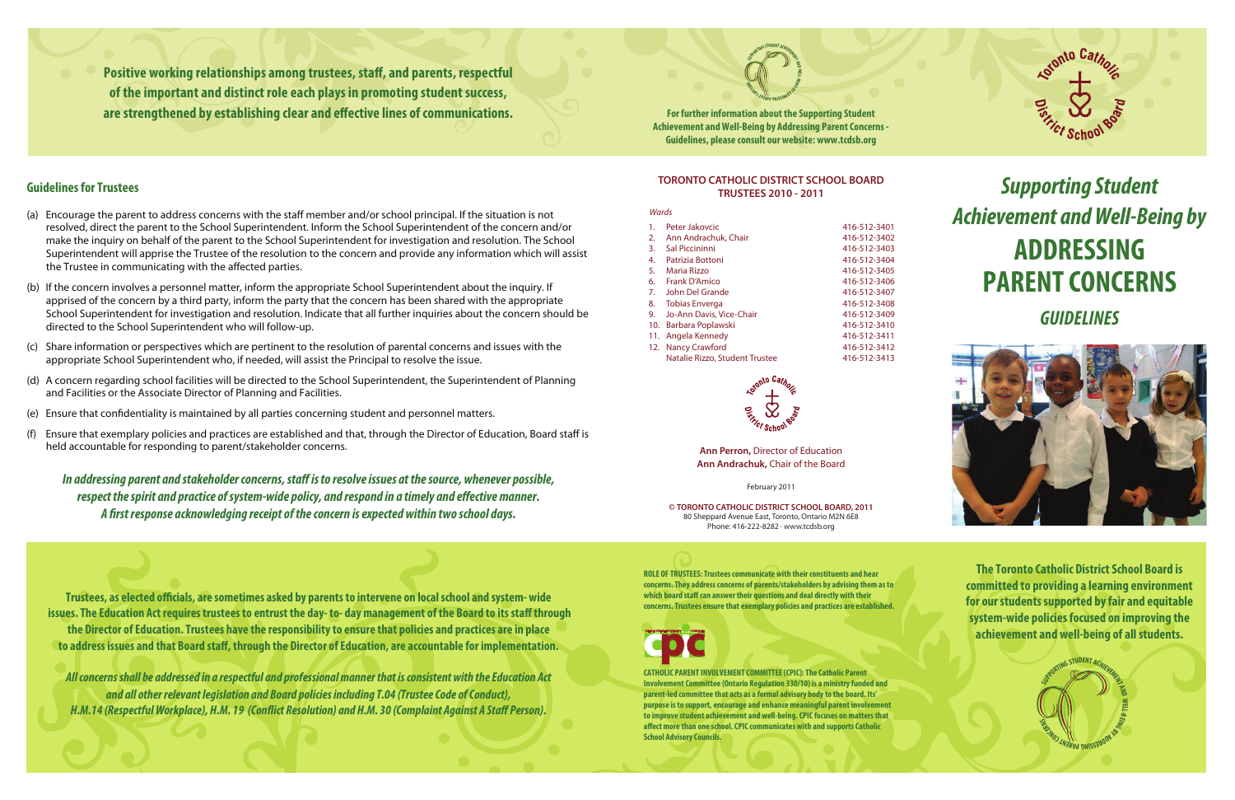**Positive working relationships among trustees, staff, and parents, respectful of the important and distinct role each plays in promoting student success,**  are strengthened by establishing clear and effective lines of communications.

**For further information about the Supporting Student Achievement and Well-Being by Addressing Parent Concerns - Guidelines, please consult our website: www.tcdsb.org**

#### **TORONTO CATHOLIC DISTRICT SCHOOL BOARD TRUSTEES 2010 - 2011**

#### *Wards*

| 1.  | Peter Jakovcic                 | 416-512-3401 |
|-----|--------------------------------|--------------|
| 2.  | Ann Andrachuk, Chair           | 416-512-3402 |
| 3.  | Sal Piccininni                 | 416-512-3403 |
| 4.  | Patrizia Bottoni               | 416-512-3404 |
| 5.  | Maria Rizzo                    | 416-512-3405 |
| 6.  | Frank D'Amico                  | 416-512-3406 |
| 7.  | John Del Grande                | 416-512-3407 |
| 8.  | <b>Tobias Enverga</b>          | 416-512-3408 |
| 9.  | Jo-Ann Davis, Vice-Chair       | 416-512-3409 |
| 10. | Barbara Poplawski              | 416-512-3410 |
| 11. | Angela Kennedy                 | 416-512-3411 |
|     | 12. Nancy Crawford             | 416-512-3412 |
|     | Natalie Rizzo, Student Trustee | 416-512-3413 |



#### **Ann Perron,** Director of Education **Ann Andrachuk,** Chair of the Board

*All concerns shall be addressed in a respectful and professional manner that is consistent with the Education Act and all other relevant legislation and Board policies including T.04 (Trustee Code of Conduct),*  H.M.14 (Respectful Workplace), H.M. 19 (Conflict Resolution) and H.M. 30 (Complaint Against A Staff Person).

February 2011

**© TORONTO CATHOLIC DISTRICT SCHOOL BOARD, 2011** 80 Sheppard Avenue East, Toronto, Ontario M2N 6E8 Phone: 416-222-8282 · www.tcdsb.org

# *Supporting Student Achievement and Well-Being by* **ADDRESSING PARENT CONCERNS**

# *GUIDELINES*



**ROLE OF TRUSTEES: Trustees communicate with their constituents and hear concerns. They address concerns of parents/stakeholders by advising them as to**  which board staff can answer their questions and deal directly with their **concerns. Trustees ensure that exemplary policies and practices are established.**

- (a) Encourage the parent to address concerns with the staff member and/or school principal. If the situation is not resolved, direct the parent to the School Superintendent. Inform the School Superintendent of the concern and/or make the inquiry on behalf of the parent to the School Superintendent for investigation and resolution. The School Superintendent will apprise the Trustee of the resolution to the concern and provide any information which will assist the Trustee in communicating with the affected parties.
- (b) If the concern involves a personnel matter, inform the appropriate School Superintendent about the inquiry. If apprised of the concern by a third party, inform the party that the concern has been shared with the appropriate School Superintendent for investigation and resolution. Indicate that all further inquiries about the concern should be directed to the School Superintendent who will follow-up.
- (c) Share information or perspectives which are pertinent to the resolution of parental concerns and issues with the appropriate School Superintendent who, if needed, will assist the Principal to resolve the issue.
- (d) A concern regarding school facilities will be directed to the School Superintendent, the Superintendent of Planning and Facilities or the Associate Director of Planning and Facilities.
- (e) Ensure that condentiality is maintained by all parties concerning student and personnel matters.
- (f) Ensure that exemplary policies and practices are established and that, through the Director of Education, Board staff is held accountable for responding to parent/stakeholder concerns.

In addressing parent and stakeholder concerns, staff is to resolve issues at the source, whenever possible, respect the spirit and practice of system-wide policy, and respond in a timely and effective manner. A first response acknowledging receipt of the concern is expected within two school days.

Trustees, as elected officials, are sometimes asked by parents to intervene on local school and system- wide **issues. The Education Act requires trustees to entrust the day- to-day management of the Board to its staff through the Director of Education. Trustees have the responsibility to ensure that policies and practices are in place**  to address issues and that Board staff, through the Director of Education, are accountable for implementation.

**B- E GRINDER** 

**<sup>N</sup>ERA<sup>P</sup> <sup>G</sup>NI<sup>S</sup> N** CONCERN OF

**SIRVORTING STUDENT ACHIEVENIS** 

**CATHOLIC PARENT INVOLVEMENT COMMITTEE (CPIC): The Catholic Parent Involvement Committee (Ontario Regulation 330/10) is a ministry funded and parent-led committee that acts as a formal advisory body to the board. Its' purpose is to support, encourage and enhance meaningful parent involvement to improve student achievement and well-being. CPIC focuses on matters that**  affect more than one school. CPIC communicates with and supports Catholic **School Advisory Councils.** 





#### **Guidelines for Trustees**

**The Toronto Catholic District School Board is committed to providing a learning environment for our students supported by fair and equitable system-wide policies focused on improving the achievement and well-being of all students.**